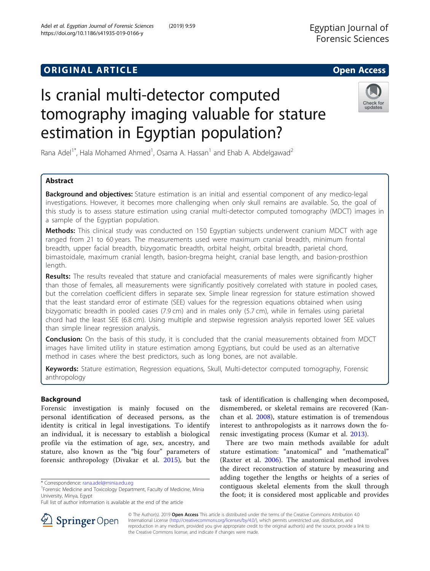## **ORIGINAL ARTICLE CONSERVERSITY OF ACCESS**

# Is cranial multi-detector computed tomography imaging valuable for stature estimation in Egyptian population?

Rana Adel<sup>1\*</sup>, Hala Mohamed Ahmed<sup>1</sup>, Osama A. Hassan<sup>1</sup> and Ehab A. Abdelgawad<sup>2</sup>

## Abstract

**Background and objectives:** Stature estimation is an initial and essential component of any medico-legal investigations. However, it becomes more challenging when only skull remains are available. So, the goal of this study is to assess stature estimation using cranial multi-detector computed tomography (MDCT) images in a sample of the Egyptian population.

Methods: This clinical study was conducted on 150 Egyptian subjects underwent cranium MDCT with age ranged from 21 to 60 years. The measurements used were maximum cranial breadth, minimum frontal breadth, upper facial breadth, bizygomatic breadth, orbital height, orbital breadth, parietal chord, bimastoidale, maximum cranial length, basion-bregma height, cranial base length, and basion-prosthion length.

Results: The results revealed that stature and craniofacial measurements of males were significantly higher than those of females, all measurements were significantly positively correlated with stature in pooled cases, but the correlation coefficient differs in separate sex. Simple linear regression for stature estimation showed that the least standard error of estimate (SEE) values for the regression equations obtained when using bizygomatic breadth in pooled cases (7.9 cm) and in males only (5.7 cm), while in females using parietal chord had the least SEE (6.8 cm). Using multiple and stepwise regression analysis reported lower SEE values than simple linear regression analysis.

Conclusion: On the basis of this study, it is concluded that the cranial measurements obtained from MDCT images have limited utility in stature estimation among Egyptians, but could be used as an alternative method in cases where the best predictors, such as long bones, are not available.

Keywords: Stature estimation, Regression equations, Skull, Multi-detector computed tomography, Forensic anthropology

the Creative Commons license, and indicate if changes were made.

© The Author(s). 2019 Open Access This article is distributed under the terms of the Creative Commons Attribution 4.0 International License ([http://creativecommons.org/licenses/by/4.0/\)](http://creativecommons.org/licenses/by/4.0/), which permits unrestricted use, distribution, and reproduction in any medium, provided you give appropriate credit to the original author(s) and the source, provide a link to

## Background

Forensic investigation is mainly focused on the personal identification of deceased persons, as the identity is critical in legal investigations. To identify an individual, it is necessary to establish a biological profile via the estimation of age, sex, ancestry, and stature, also known as the "big four" parameters of forensic anthropology (Divakar et al. [2015\)](#page-11-0), but the

\* Correspondence: [rana.adel@minia.edu.eg](mailto:rana.adel@minia.edu.eg) <sup>1</sup>

task of identification is challenging when decomposed, dismembered, or skeletal remains are recovered (Kanchan et al. [2008\)](#page-11-0), stature estimation is of tremendous interest to anthropologists as it narrows down the forensic investigating process (Kumar et al. [2013](#page-11-0)).

There are two main methods available for adult stature estimation: "anatomical" and "mathematical" (Raxter et al. [2006](#page-11-0)). The anatomical method involves the direct reconstruction of stature by measuring and adding together the lengths or heights of a series of contiguous skeletal elements from the skull through the foot; it is considered most applicable and provides





updates

<sup>&</sup>lt;sup>1</sup> Forensic Medicine and Toxicology Department, Faculty of Medicine, Minia University, Minya, Egypt

Full list of author information is available at the end of the article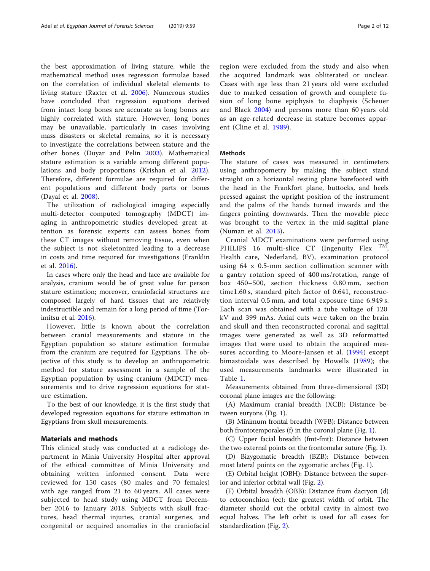the best approximation of living stature, while the mathematical method uses regression formulae based on the correlation of individual skeletal elements to living stature (Raxter et al. [2006\)](#page-11-0). Numerous studies have concluded that regression equations derived from intact long bones are accurate as long bones are highly correlated with stature. However, long bones may be unavailable, particularly in cases involving mass disasters or skeletal remains, so it is necessary to investigate the correlations between stature and the other bones (Duyar and Pelin [2003](#page-11-0)). Mathematical stature estimation is a variable among different populations and body proportions (Krishan et al. [2012](#page-11-0)). Therefore, different formulae are required for different populations and different body parts or bones (Dayal et al. [2008](#page-10-0)).

The utilization of radiological imaging especially multi-detector computed tomography (MDCT) imaging in anthropometric studies developed great attention as forensic experts can assess bones from these CT images without removing tissue, even when the subject is not skeletonized leading to a decrease in costs and time required for investigations (Franklin et al. [2016\)](#page-11-0).

In cases where only the head and face are available for analysis, cranium would be of great value for person stature estimation; moreover, craniofacial structures are composed largely of hard tissues that are relatively indestructible and remain for a long period of time (Torimitsu et al. [2016](#page-11-0)).

However, little is known about the correlation between cranial measurements and stature in the Egyptian population so stature estimation formulae from the cranium are required for Egyptians. The objective of this study is to develop an anthropometric method for stature assessment in a sample of the Egyptian population by using cranium (MDCT) measurements and to drive regression equations for stature estimation.

To the best of our knowledge, it is the first study that developed regression equations for stature estimation in Egyptians from skull measurements.

#### Materials and methods

This clinical study was conducted at a radiology department in Minia University Hospital after approval of the ethical committee of Minia University and obtaining written informed consent. Data were reviewed for 150 cases (80 males and 70 females) with age ranged from 21 to 60 years. All cases were subjected to head study using MDCT from December 2016 to January 2018. Subjects with skull fractures, head thermal injuries, cranial surgeries, and congenital or acquired anomalies in the craniofacial region were excluded from the study and also when the acquired landmark was obliterated or unclear. Cases with age less than 21 years old were excluded due to marked cessation of growth and complete fusion of long bone epiphysis to diaphysis (Scheuer and Black [2004](#page-11-0)) and persons more than 60 years old as an age-related decrease in stature becomes apparent (Cline et al. [1989\)](#page-10-0).

#### **Mathods**

The stature of cases was measured in centimeters using anthropometry by making the subject stand straight on a horizontal resting plane barefooted with the head in the Frankfort plane, buttocks, and heels pressed against the upright position of the instrument and the palms of the hands turned inwards and the fingers pointing downwards. Then the movable piece was brought to the vertex in the mid-sagittal plane (Numan et al. [2013](#page-11-0)).

Cranial MDCT examinations were performed using PHILIPS 16 multi-slice CT (Ingenuity Flex TM, Health care, Nederland, BV), examination protocol using  $64 \times 0.5$ -mm section collimation scanner with a gantry rotation speed of 400 ms/rotation, range of box 450–500, section thickness 0.80 mm, section time1.60 s, standard pitch factor of 0.641, reconstruction interval 0.5 mm, and total exposure time 6.949 s. Each scan was obtained with a tube voltage of 120 kV and 399 mAs. Axial cuts were taken on the brain and skull and then reconstructed coronal and sagittal images were generated as well as 3D reformatted images that were used to obtain the acquired measures according to Moore-Jansen et al. [\(1994\)](#page-11-0) except bimastoidale was described by Howells ([1989](#page-11-0)); the used measurements landmarks were illustrated in Table [1.](#page-2-0)

Measurements obtained from three-dimensional (3D) coronal plane images are the following:

(A) Maximum cranial breadth (XCB): Distance between euryons (Fig. [1](#page-2-0)).

(B) Minimum frontal breadth (WFB): Distance between both frontotemporales (f) in the coronal plane (Fig. [1](#page-2-0)).

(C) Upper facial breadth (fmt-fmt): Distance between the two external points on the frontomalar suture (Fig. [1\)](#page-2-0).

(D) Bizygomatic breadth (BZB): Distance between most lateral points on the zygomatic arches (Fig. [1](#page-2-0)).

(E) Orbital height (OBH): Distance between the superior and inferior orbital wall (Fig. [2\)](#page-2-0).

(F) Orbital breadth (OBB): Distance from dacryon (d) to ectoconchion (ec); the greatest width of orbit. The diameter should cut the orbital cavity in almost two equal halves. The left orbit is used for all cases for standardization (Fig. [2\)](#page-2-0).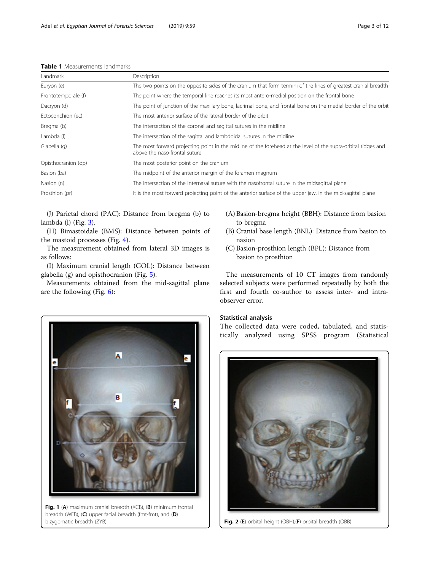<span id="page-2-0"></span>

|  | <b>Table 1</b> Measurements landmarks |  |
|--|---------------------------------------|--|
|--|---------------------------------------|--|

| Landmark            | Description                                                                                                                                    |
|---------------------|------------------------------------------------------------------------------------------------------------------------------------------------|
| Euryon (e)          | The two points on the opposite sides of the cranium that form termini of the lines of greatest cranial breadth                                 |
| Frontotemporale (f) | The point where the temporal line reaches its most antero-medial position on the frontal bone                                                  |
| Dacryon (d)         | The point of junction of the maxillary bone, lacrimal bone, and frontal bone on the medial border of the orbit                                 |
| Ectoconchion (ec)   | The most anterior surface of the lateral border of the orbit                                                                                   |
| Bregma (b)          | The intersection of the coronal and sagittal sutures in the midline                                                                            |
| Lambda (l)          | The intersection of the sagittal and lambdoidal sutures in the midline                                                                         |
| Glabella (g)        | The most forward projecting point in the midline of the forehead at the level of the supra-orbital ridges and<br>above the naso-frontal suture |
| Opisthocranion (op) | The most posterior point on the cranium                                                                                                        |
| Basion (ba)         | The midpoint of the anterior margin of the foramen magnum                                                                                      |
| Nasion (n)          | The intersection of the internasal suture with the nasofrontal suture in the midsagittal plane                                                 |
| Prosthion (pr)      | It is the most forward projecting point of the anterior surface of the upper jaw, in the mid-sagittal plane                                    |

(J) Parietal chord (PAC): Distance from bregma (b) to lambda (l) (Fig. [3\)](#page-3-0).

(H) Bimastoidale (BMS): Distance between points of the mastoid processes (Fig. [4\)](#page-3-0).

The measurement obtained from lateral 3D images is as follows:

(I) Maximum cranial length (GOL): Distance between glabella (g) and opisthocranion (Fig. [5\)](#page-3-0).

Measurements obtained from the mid-sagittal plane are the following (Fig. [6](#page-3-0)):



Fig. 1 (A) maximum cranial breadth (XCB), (B) minimum frontal breadth (WFB), (C) upper facial breadth (fmt-fmt), and (D) bizygomatic breadth (ZYB)  $\begin{vmatrix} \cdot & \cdot & \cdot \\ \cdot & \cdot & \cdot \\ \cdot & \cdot & \cdot \end{vmatrix}$  **Fig. 2 (E)** orbital height (OBH),(**F**) orbital breadth (OBB)

- (A) Basion-bregma height (BBH): Distance from basion
- reg<br>Cranial ba  $\theta$ nasion<br>(C) Basion-prosthion length (BPL): Distance from
- $\frac{1}{2}$  basion to prosthion basion to prosthion

The measurements of 10 CT images from randomly selected subjects were performed repeatedly by both the first and fourth co-author to assess inter- and intraobserver error.

#### Statistical analysis

The collected data were coded, tabulated, and statistically analyzed using SPSS program (Statistical

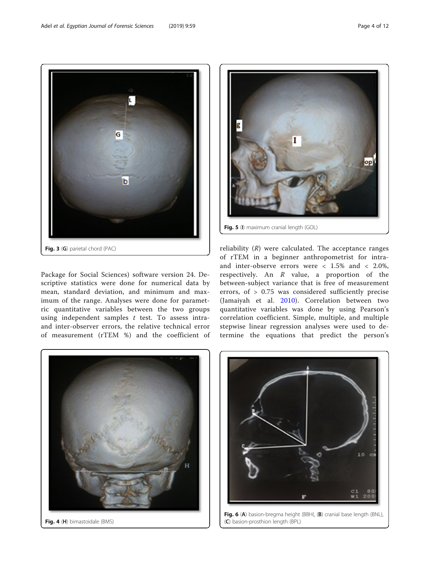<span id="page-3-0"></span>

Package for Social Sciences) software version 24. Descriptive statistics were done for numerical data by mean, standard deviation, and minimum and maximum of the range. Analyses were done for parametric quantitative variables between the two groups using independent samples  $t$  test. To assess intraand inter-observer errors, the relative technical error of measurement (rTEM %) and the coefficient of



reliability  $(R)$  were calculated. The acceptance ranges of rTEM in a beginner anthropometrist for intraand inter-observe errors were  $< 1.5\%$  and  $< 2.0\%$ , respectively. An R value, a proportion of the between-subject variance that is free of measurement errors, of  $> 0.75$  was considered sufficiently precise (Jamaiyah et al. [2010\)](#page-11-0). Correlation between two quantitative variables was done by using Pearson's correlation coefficient. Simple, multiple, and multiple stepwise linear regression analyses were used to determine the equations that predict the person's



Fig. 4 (H) bimastoidale (BMS)



Fig. 6 (A) basion-bregma height (BBH(, (B) cranial base length (BNL), (C) basion-prosthion length (BPL)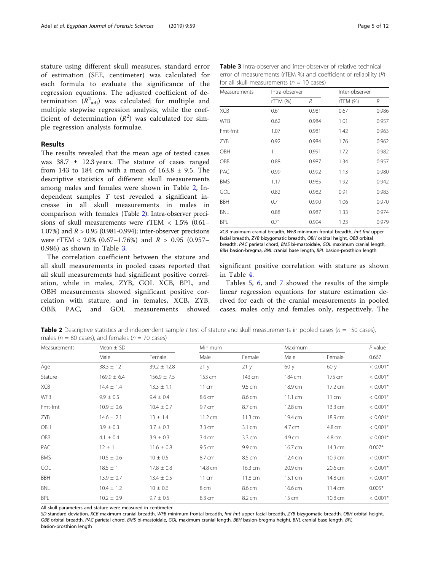stature using different skull measures, standard error of estimation (SEE, centimeter) was calculated for each formula to evaluate the significance of the regression equations. The adjusted coefficient of determination  $(R^2_{\;\; \rm adj})$  was calculated for multiple and multiple stepwise regression analysis, while the coefficient of determination  $(R^2)$  was calculated for simple regression analysis formulae.

#### Results

The results revealed that the mean age of tested cases was  $38.7 \pm 12.3$  years. The stature of cases ranged from 143 to 184 cm with a mean of  $163.8 \pm 9.5$ . The descriptive statistics of different skull measurements among males and females were shown in Table 2, Independent samples T test revealed a significant increase in all skull measurements in males in comparison with females (Table 2). Intra-observer precisions of skull measurements were rTEM < 1.5% (0.61– 1.07%) and  $R > 0.95$  (0.981-0.994); inter-observer precisions were rTEM <  $2.0\%$  (0.67–1.76%) and  $R > 0.95$  (0.957– 0.986) as shown in Table 3.

The correlation coefficient between the stature and all skull measurements in pooled cases reported that all skull measurements had significant positive correlation, while in males, ZYB, GOL XCB, BPL, and OBH measurements showed significant positive correlation with stature, and in females, XCB, ZYB, OBB, PAC, and GOL measurements showed

Table 3 Intra-observer and inter-observer of relative technical error of measurements (rTEM %) and coefficient of reliability (R) for all skull measurements ( $n = 10$  cases)

| Measurements | Intra-observer |       | Inter-observer |       |  |
|--------------|----------------|-------|----------------|-------|--|
|              | rTEM (%)       | R     | rTEM (%)       | R     |  |
| <b>XCB</b>   | 0.61           | 0.981 | 0.67           | 0.986 |  |
| <b>WFB</b>   | 0.62           | 0.984 | 1.01           | 0.957 |  |
| Fmt-fmt      | 1.07           | 0.981 | 1.42           | 0.963 |  |
| ZYB          | 0.92           | 0.984 | 1.76           | 0.962 |  |
| OBH          | 1              | 0.991 | 1.72           | 0.982 |  |
| <b>OBB</b>   | 0.88           | 0.987 | 1.34           | 0.957 |  |
| PAC          | 0.99           | 0.992 | 1.13           | 0.980 |  |
| <b>BMS</b>   | 1.17           | 0.985 | 1.92           | 0.942 |  |
| GOL          | 0.82           | 0.982 | 0.91           | 0.983 |  |
| <b>BBH</b>   | 0.7            | 0.990 | 1.06           | 0.970 |  |
| <b>BNL</b>   | 0.88           | 0.987 | 1.33           | 0.974 |  |
| <b>BPL</b>   | 0.71           | 0.994 | 1.23           | 0.979 |  |

XCB maximum cranial breadth, WFB minimum frontal breadth, fmt-fmt upper facial breadth, ZYB bizygomatic breadth, OBH orbital height, OBB orbital breadth, PAC parietal chord, BMS bi-mastoidale, GOL maximum cranial length, BBH basion-bregma, BNL cranial base length, BPL basion-prosthion length

significant positive correlation with stature as shown in Table [4.](#page-5-0)

Tables [5](#page-5-0), [6](#page-6-0), and [7](#page-6-0) showed the results of the simple linear regression equations for stature estimation derived for each of the cranial measurements in pooled cases, males only and females only, respectively. The

Table 2 Descriptive statistics and independent sample t test of stature and skull measurements in pooled cases ( $n = 150$  cases), males ( $n = 80$  cases), and females ( $n = 70$  cases)

| Measurements | Mean $\pm$ SD   |                 | Minimum           |         | Maximum           |         |            |
|--------------|-----------------|-----------------|-------------------|---------|-------------------|---------|------------|
|              | Male            | Female          | Male              | Female  | Male              | Female  | 0.667      |
| Age          | $38.3 \pm 12$   | $39.2 \pm 12.8$ | 21y               | 21y     | 60y               | 60 y    | $< 0.001*$ |
| Stature      | $169.9 \pm 6.4$ | $156.9 \pm 7.5$ | 153 cm            | 143 cm  | 184 cm            | 175 cm  | $< 0.001*$ |
| <b>XCB</b>   | $14.4 \pm 1.4$  | $13.3 \pm 1.1$  | 11 cm             | 9.5 cm  | 18.9 cm           | 17.2 cm | $< 0.001*$ |
| <b>WFB</b>   | $9.9 \pm 0.5$   | $9.4 \pm 0.4$   | 8.6 cm            | 8.6 cm  | $11.1 \text{ cm}$ | 11 cm   | $< 0.001*$ |
| Fmt-fmt      | $10.9 \pm 0.6$  | $10.4 \pm 0.7$  | 9.7 cm            | 8.7 cm  | 12.8 cm           | 13.3 cm | $< 0.001*$ |
| ZYB          | $14.6 \pm 2.1$  | $13 \pm 1.4$    | $11.2 \text{ cm}$ | 11.3 cm | 19.4 cm           | 18.9 cm | $< 0.001*$ |
| OBH          | $3.9 \pm 0.3$   | $3.7 \pm 0.3$   | 3.3 cm            | 3.1 cm  | 4.7 cm            | 4.8 cm  | $< 0.001*$ |
| OBB          | $4.1 \pm 0.4$   | $3.9 \pm 0.3$   | 3.4 cm            | 3.3 cm  | 4.9 cm            | 4.8 cm  | $< 0.001*$ |
| PAC          | $12 \pm 1$      | $11.6 \pm 0.8$  | 9.5 cm            | 9.9 cm  | 16.7 cm           | 14.3 cm | $0.007*$   |
| <b>BMS</b>   | $10.5 \pm 0.6$  | $10 \pm 0.5$    | 8.7 cm            | 8.5 cm  | 12.4 cm           | 10.9 cm | $< 0.001*$ |
| GOL          | $18.5 \pm 1$    | $17.8 \pm 0.8$  | 14.8 cm           | 16.3 cm | 20.9 cm           | 20.6 cm | $< 0.001*$ |
| <b>BBH</b>   | $13.9 \pm 0.7$  | $13.4 \pm 0.5$  | 11 cm             | 11.8 cm | 15.1 cm           | 14.8 cm | $< 0.001*$ |
| BNL          | $10.4 \pm 1.2$  | $10 \pm 0.6$    | 8 cm              | 8.6 cm  | 16.6 cm           | 11.4 cm | $0.005*$   |
| <b>BPL</b>   | $10.2 \pm 0.9$  | $9.7 \pm 0.5$   | 8.3 cm            | 8.2 cm  | 15 cm             | 10.8 cm | $< 0.001*$ |

All skull parameters and stature were measured in centimeter

SD standard deviation, XCB maximum cranial breadth, WFB minimum frontal breadth, fmt-fmt upper facial breadth, ZYB bizyqomatic breadth, OBH orbital height, OBB orbital breadth, PAC parietal chord, BMS bi-mastoidale, GOL maximum cranial length, BBH basion-bregma height, BNL cranial base length, BPL basion-prosthion length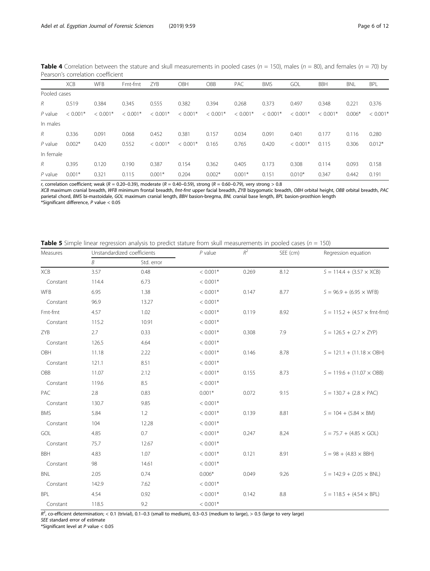<span id="page-5-0"></span>**Table 4** Correlation between the stature and skull measurements in pooled cases ( $n = 150$ ), males ( $n = 80$ ), and females ( $n = 70$ ) by Pearson's correlation coefficient

|              | <b>XCB</b> | <b>WFB</b> | Fmt-fmt    | ZYB        | OBH        | OBB        | <b>PAC</b> | <b>BMS</b> | GOL        | <b>BBH</b> | <b>BNL</b> | <b>BPL</b> |
|--------------|------------|------------|------------|------------|------------|------------|------------|------------|------------|------------|------------|------------|
| Pooled cases |            |            |            |            |            |            |            |            |            |            |            |            |
| R            | 0.519      | 0.384      | 0.345      | 0.555      | 0.382      | 0.394      | 0.268      | 0.373      | 0.497      | 0.348      | 0.221      | 0.376      |
| $P$ value    | $< 0.001*$ | $< 0.001*$ | $< 0.001*$ | $< 0.001*$ | $< 0.001*$ | $< 0.001*$ | $< 0.001*$ | $< 0.001*$ | $< 0.001*$ | $< 0.001*$ | $0.006*$   | $< 0.001*$ |
| In males     |            |            |            |            |            |            |            |            |            |            |            |            |
| R            | 0.336      | 0.091      | 0.068      | 0.452      | 0.381      | 0.157      | 0.034      | 0.091      | 0.401      | 0.177      | 0.116      | 0.280      |
| $P$ value    | $0.002*$   | 0.420      | 0.552      | $< 0.001*$ | $< 0.001*$ | 0.165      | 0.765      | 0.420      | $< 0.001*$ | 0.115      | 0.306      | $0.012*$   |
| In female    |            |            |            |            |            |            |            |            |            |            |            |            |
| R            | 0.395      | 0.120      | 0.190      | 0.387      | 0.154      | 0.362      | 0.405      | 0.173      | 0.308      | 0.114      | 0.093      | 0.158      |
| $P$ value    | $0.001*$   | 0.321      | 0.115      | $0.001*$   | 0.204      | $0.002*$   | $0.001*$   | 0.151      | $0.010*$   | 0.347      | 0.442      | 0.191      |

r, correlation coefficient; weak (R = 0.20–0.39), moderate (R = 0.40–0.59), strong (R = 0.60–0.79), very strong > 0.8<br>XCB maximum cranial breadth, WFB minimum frontal breadth, *fmt-fmt* upper facial breadth, ZYB bizygomat XCB maximum cranial breadth, WFB minimum frontal breadth, *fmt-fmt* upper facial breadth, ZYB bizygomatic breadth, OBH orbital height, OBB orbital breadth, PAC<br>parietal chord, BMS bi-mastoidale, GOL maximum cranial length, parietal chord, *BMS* bi-mastoidale, GOL maximum cranial length, *BBH* basion-bregma, *BNL* cranial base length, *BPL* basion-prosthion length<br>\*Significant difference, Raxlue < 0.05

\*Significant difference,  $P$  value  $< 0.05$ 

|  |  |  | <b>Table 5</b> Simple linear regression analysis to predict stature from skull measurements in pooled cases ( $n = 150$ ) |  |  |
|--|--|--|---------------------------------------------------------------------------------------------------------------------------|--|--|
|  |  |  |                                                                                                                           |  |  |

| Measures   | Unstandardized coefficients |            | $P$ value  | $R^2$ | SEE (cm) | Regression equation                        |  |
|------------|-----------------------------|------------|------------|-------|----------|--------------------------------------------|--|
|            | B                           | Std. error |            |       |          |                                            |  |
| XCB        | 3.57                        | 0.48       | $< 0.001*$ | 0.269 | 8.12     | $S = 114.4 + (3.57 \times XCB)$            |  |
| Constant   | 114.4                       | 6.73       | $< 0.001*$ |       |          |                                            |  |
| <b>WFB</b> | 6.95                        | 1.38       | $< 0.001*$ | 0.147 | 8.77     | $S = 96.9 + (6.95 \times WFB)$             |  |
| Constant   | 96.9                        | 13.27      | $< 0.001*$ |       |          |                                            |  |
| Fmt-fmt    | 4.57                        | 1.02       | $< 0.001*$ | 0.119 | 8.92     | $S = 115.2 + (4.57 \times \text{fmt-fmt})$ |  |
| Constant   | 115.2                       | 10.91      | $< 0.001*$ |       |          |                                            |  |
| ZYB        | 2.7                         | 0.33       | $< 0.001*$ | 0.308 | 7.9      | $S = 126.5 + (2.7 \times ZYP)$             |  |
| Constant   | 126.5                       | 4.64       | $< 0.001*$ |       |          |                                            |  |
| OBH        | 11.18                       | 2.22       | $< 0.001*$ | 0.146 |          | $S = 121.1 + (11.18 \times \text{OBH})$    |  |
| Constant   | 121.1                       | 8.51       | $< 0.001*$ |       |          |                                            |  |
| OBB        | 11.07                       | 2.12       | $< 0.001*$ | 0.155 | 8.73     | $S = 119.6 + (11.07 \times \text{OBB})$    |  |
| Constant   | 119.6                       | 8.5        | $< 0.001*$ |       |          |                                            |  |
| PAC        | 2.8                         | 0.83       | $0.001*$   | 0.072 | 9.15     | $S = 130.7 + (2.8 \times PAC)$             |  |
| Constant   | 130.7                       | 9.85       | $< 0.001*$ |       |          |                                            |  |
| <b>BMS</b> | 5.84                        | 1.2        | $< 0.001*$ | 0.139 | 8.81     | $S = 104 + (5.84 \times BM)$               |  |
| Constant   | 104                         | 12.28      | $< 0.001*$ |       |          |                                            |  |
| GOL        | 4.85                        | 0.7        | $< 0.001*$ | 0.247 | 8.24     | $S = 75.7 + (4.85 \times GOL)$             |  |
| Constant   | 75.7                        | 12.67      | $< 0.001*$ |       |          |                                            |  |
| <b>BBH</b> | 4.83                        | 1.07       | $< 0.001*$ | 0.121 | 8.91     | $S = 98 + (4.83 \times BBH)$               |  |
| Constant   | 98                          | 14.61      | $< 0.001*$ |       |          |                                            |  |
| <b>BNL</b> | 2.05                        | 0.74       | $0.006*$   | 0.049 | 9.26     | $S = 142.9 + (2.05 \times BNL)$            |  |
| Constant   | 142.9                       | 7.62       | $< 0.001*$ |       |          |                                            |  |
| BPL        | 4.54                        | 0.92       | $< 0.001*$ | 0.142 | 8.8      | $S = 118.5 + (4.54 \times BPL)$            |  |
| Constant   | 118.5                       | 9.2        | $< 0.001*$ |       |          |                                            |  |

 $R^2$ , co-efficient determination; < 0.1 (trivial), 0.1–0.3 (small to medium), 0.3–0.5 (medium to large), > 0.5 (large to very large)<br>SEE standard error of estimate

SEE standard error of estimate

\*Significant level at  $P$  value  $< 0.05$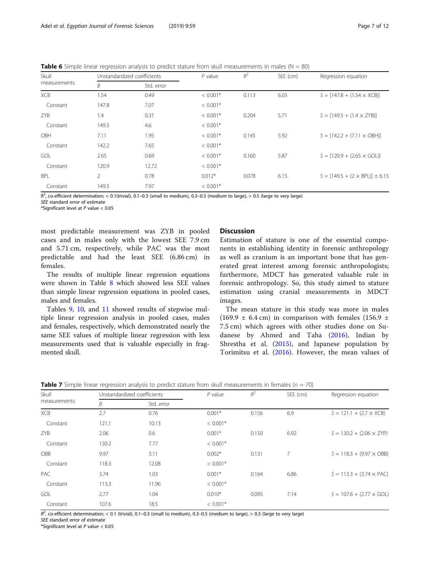<span id="page-6-0"></span>**Table 6** Simple linear regression analysis to predict stature from skull measurements in males ( $N = 80$ )

| Skull        |       | Unstandardized coefficients | $P$ value  | $R^2$ | SEE (cm) | Regression equation                     |
|--------------|-------|-----------------------------|------------|-------|----------|-----------------------------------------|
| measurements | Β     | Std. error                  |            |       |          |                                         |
| <b>XCB</b>   | 1.54  | 0.49                        | $< 0.001*$ | 0.113 | 6.03     | $S = [147.8 + (1.54 \times XCB)]$       |
| Constant     | 147.8 | 7.07                        | $< 0.001*$ |       |          |                                         |
| ZYB          | 1.4   | 0.31                        | $< 0.001*$ | 0.204 | 5.71     | $S = [149.5 + (1.4 \times ZYB)]$        |
| Constant     | 149.5 | 4.6                         | $< 0.001*$ |       |          |                                         |
| OBH          | 7.11  | 1.95                        | $< 0.001*$ | 0.145 | 5.92     | $S = [142.2 + (7.11 \times OBH)]$       |
| Constant     | 142.2 | 7.65                        | $< 0.001*$ |       |          |                                         |
| GOL          | 2.65  | 0.69                        | $< 0.001*$ | 0.160 | 5.87     | $S = [120.9 + (2.65 \times GOL)]$       |
| Constant     | 120.9 | 12.72                       | $< 0.001*$ |       |          |                                         |
| <b>BPL</b>   | 2     | 0.78                        | $0.012*$   | 0.078 | 6.15     | $S = [149.5 + (2 \times BPL)] \pm 6.15$ |
| Constant     | 149.5 | 7.97                        | $< 0.001*$ |       |          |                                         |

 $R^2$ , co-efficient determination; < 0.1(trivial), 0.1–0.3 (small to medium), 0.3–0.5 (medium to large), > 0.5 (large to very large)

SEE standard error of estimate

\*Significant level at P value  $< 0.05$ 

most predictable measurement was ZYB in pooled cases and in males only with the lowest SEE 7.9 cm and 5.71 cm, respectively, while PAC was the most predictable and had the least SEE (6.86 cm) in females.

The results of multiple linear regression equations were shown in Table [8](#page-7-0) which showed less SEE values than simple linear regression equations in pooled cases, males and females.

Tables [9](#page-8-0), [10](#page-9-0), and [11](#page-9-0) showed results of stepwise multiple linear regression analysis in pooled cases, males and females, respectively, which demonstrated nearly the same SEE values of multiple linear regression with less measurements used that is valuable especially in fragmented skull.

#### **Discussion**

Estimation of stature is one of the essential components in establishing identity in forensic anthropology as well as cranium is an important bone that has generated great interest among forensic anthropologists; furthermore, MDCT has generated valuable rule in forensic anthropology. So, this study aimed to stature estimation using cranial measurements in MDCT images.

The mean stature in this study was more in males  $(169.9 \pm 6.4 \text{ cm})$  in comparison with females  $(156.9 \pm 1.6 \text{ cm})$ 7.5 cm) which agrees with other studies done on Sudanese by Ahmed and Taha [\(2016](#page-10-0)), Indian by Shrestha et al. ([2015\)](#page-11-0), and Japanese population by Torimitsu et al. ([2016\)](#page-11-0). However, the mean values of

|  |  |  |  | <b>Table 7</b> Simple linear regression analysis to predict stature from skull measurements in females ( $n = 70$ ) |  |
|--|--|--|--|---------------------------------------------------------------------------------------------------------------------|--|
|  |  |  |  |                                                                                                                     |  |

| Skull        | Unstandardized coefficients |            | $P$ value  | $R^2$ | SEE (cm) | Regression equation                    |  |
|--------------|-----------------------------|------------|------------|-------|----------|----------------------------------------|--|
| measurements | В                           | Std. error |            |       |          |                                        |  |
| <b>XCB</b>   | 2.7                         | 0.76       | $0.001*$   | 0.156 | 6.9      | $S = 121.1 + (2.7 \times XCB)$         |  |
| Constant     | 121.1                       | 10.13      | $< 0.001*$ |       |          |                                        |  |
| <b>ZYB</b>   | 2.06                        | 0.6        | $0.001*$   | 0.150 | 6.92     | $S = 130.2 + (2.06 \times ZYP)$        |  |
| Constant     | 130.2                       | 7.77       | $< 0.001*$ |       |          |                                        |  |
| OBB          | 9.97                        | 3.11       | $0.002*$   | 0.131 | 7        | $S = 118.3 + (9.97 \times \text{OBB})$ |  |
| Constant     | 118.3                       | 12.08      | $< 0.001*$ |       |          |                                        |  |
| <b>PAC</b>   | 3.74                        | 1.03       | $0.001*$   | 0.164 | 6.86     | $S = 113.3 + (3.74 \times PAC)$        |  |
| Constant     | 113.3                       | 11.96      | $< 0.001*$ |       |          |                                        |  |
| <b>GOL</b>   | 2.77                        | 1.04       | $0.010*$   | 0.095 | 7.14     | $S = 107.6 + (2.77 \times GOL)$        |  |
| Constant     | 107.6                       | 18.5       | $< 0.001*$ |       |          |                                        |  |

 $R^2$ , co-efficient determination; < 0.1 (trivial), 0.1–0.3 (small to medium), 0.3–0.5 (medium to large), > 0.5 (large to very large)<br>SEE standard error of estimate

SEE standard error of estimate

\*Significant level at P value < 0.05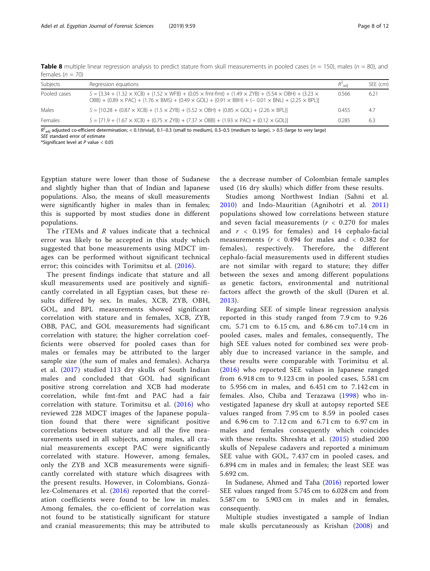Subjects Regression equations  $R^2_{\text{adj}}$ SEE (cm) Pooled cases  $S = [3.34 + (1.32 \times XCB) + (1.52 \times WFB) + (0.05 \times fmt-fmt) + (1.49 \times ZYB) + (5.54 \times OBH) + (3.23 \times GBH) + (1.49 \times GBH) + (1.49 \times GBH) + (1.49 \times GBH) + (1.49 \times GBH) + (1.49 \times GBH) + (1.49 \times GBH) + (1.49 \times GBH) + (1.49 \times GBH) + (1.49 \times GBH) + (1.49 \times GBH) + (1.49 \times GBH) + (1.49 \times GBH$  $OBB$ ) + (0.89 × PAC) + (1.76 × BMS) + (0.49 × GOL) + (0.91 × BBH) + (- 0.01 × BNL) + (2.25 × BPL)] 0.566 6.21 Males  $S = [10.28 + (0.87 \times XCB) + (1.5 \times ZYB) + (5.52 \times OBH) + (0.85 \times GOL) + (2.26 \times BPL)]$  0.455 4.7

Females  $S = [71.9 + (1.67 \times XCB) + (0.75 \times ZYB) + (7.37 \times OBB) + (1.93 \times PAC) + (0.12 \times GOL)]$  0.285 6.3

<span id="page-7-0"></span>**Table 8** multiple linear regression analysis to predict stature from skull measurements in pooled cases ( $n = 150$ ), males ( $n = 80$ ), and females ( $n = 70$ )

 $R^2_{\rm adj}$  adjusted co-efficient determination; < 0.1(trivial), 0.1–0.3 (small to medium), 0.3–0.5 (medium to large), > 0.5 (large to very large)<br>SEE standard error of estimate SEE standard error of estimate

\*Significant level at P value < 0.05

Egyptian stature were lower than those of Sudanese and slightly higher than that of Indian and Japanese populations. Also, the means of skull measurements were significantly higher in males than in females; this is supported by most studies done in different populations.

The rTEMs and R values indicate that a technical error was likely to be accepted in this study which suggested that bone measurements using MDCT images can be performed without significant technical error; this coincides with Torimitsu et al. [\(2016\)](#page-11-0).

The present findings indicate that stature and all skull measurements used are positively and significantly correlated in all Egyptian cases, but these results differed by sex. In males, XCB, ZYB, OBH, GOL, and BPL measurements showed significant correlation with stature and in females, XCB, ZYB, OBB, PAC, and GOL measurements had significant correlation with stature; the higher correlation coefficients were observed for pooled cases than for males or females may be attributed to the larger sample size (the sum of males and females). Acharya et al. ([2017\)](#page-10-0) studied 113 dry skulls of South Indian males and concluded that GOL had significant positive strong correlation and XCB had moderate correlation, while fmt-fmt and PAC had a fair correlation with stature. Torimitsu et al. ([2016\)](#page-11-0) who reviewed 228 MDCT images of the Japanese population found that there were significant positive correlations between stature and all the five measurements used in all subjects, among males, all cranial measurements except PAC were significantly correlated with stature. However, among females, only the ZYB and XCB measurements were significantly correlated with stature which disagrees with the present results. However, in Colombians, González-Colmenares et al. ([2016](#page-11-0)) reported that the correlation coefficients were found to be low in males. Among females, the co-efficient of correlation was not found to be statistically significant for stature and cranial measurements; this may be attributed to the a decrease number of Colombian female samples used (16 dry skulls) which differ from these results.

Studies among Northwest Indian (Sahni et al. [2010](#page-11-0)) and Indo-Mauritian (Agnihotri et al. [2011](#page-10-0)) populations showed low correlations between stature and seven facial measurements ( $r < 0.270$  for males and  $r < 0.195$  for females) and 14 cephalo-facial measurements ( $r < 0.494$  for males and  $< 0.382$  for females), respectively. Therefore, the different cephalo-facial measurements used in different studies are not similar with regard to stature; they differ between the sexes and among different populations as genetic factors, environmental and nutritional factors affect the growth of the skull (Duren et al. [2013](#page-11-0)).

Regarding SEE of simple linear regression analysis reported in this study ranged from 7.9 cm to 9.26 cm, 5.71 cm to 6.15 cm, and 6.86 cm to7.14 cm in pooled cases, males and females, consequently, The high SEE values noted for combined sex were probably due to increased variance in the sample, and these results were comparable with Torimitsu et al. ([2016](#page-11-0)) who reported SEE values in Japanese ranged from 6.918 cm to 9.123 cm in pooled cases, 5.581 cm to 5.956 cm in males, and 6.451 cm to 7.142 cm in females. Also, Chiba and Terazawa ([1998\)](#page-10-0) who investigated Japanese dry skull at autopsy reported SEE values ranged from 7.95 cm to 8.59 in pooled cases and 6.96 cm to 7.12 cm and 6.71 cm to 6.97 cm in males and females consequently which coincides with these results. Shreshta et al. ([2015](#page-11-0)) studied 200 skulls of Nepalese cadavers and reported a minimum SEE value with GOL, 7.437 cm in pooled cases, and 6.894 cm in males and in females; the least SEE was 5.692 cm.

In Sudanese, Ahmed and Taha [\(2016\)](#page-10-0) reported lower SEE values ranged from 5.745 cm to 6.028 cm and from 5.587 cm to 5.903 cm in males and in females, consequently.

Multiple studies investigated a sample of Indian male skulls percutaneously as Krishan ([2008\)](#page-11-0) and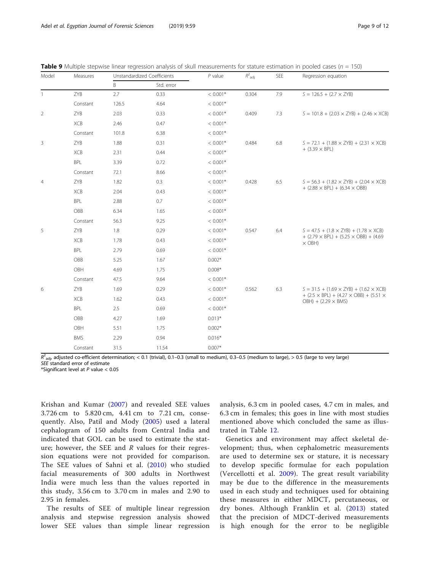| Model          | Measures   |       | Unstandardized Coefficients |            | $R^2$ <sub>adj</sub> | SEE | Regression equation                                                                            |  |
|----------------|------------|-------|-----------------------------|------------|----------------------|-----|------------------------------------------------------------------------------------------------|--|
|                |            | B     | Std. error                  |            |                      |     |                                                                                                |  |
| $\mathbf{1}$   | ZYB        | 2.7   | 0.33                        | $< 0.001*$ | 0.304                | 7.9 | $S = 126.5 + (2.7 \times ZYB)$                                                                 |  |
|                | Constant   | 126.5 | 4.64                        | $< 0.001*$ |                      |     |                                                                                                |  |
| $\overline{2}$ | ZYB        | 2.03  | 0.33                        | $< 0.001*$ | 0.409                | 7.3 | $S = 101.8 + (2.03 \times ZYB) + (2.46 \times XCB)$                                            |  |
|                | XCB        | 2.46  | 0.47                        | $< 0.001*$ |                      |     |                                                                                                |  |
|                | Constant   | 101.8 | 6.38                        | $< 0.001*$ |                      |     |                                                                                                |  |
| $\mathsf 3$    | ZYB        | 1.88  | 0.31                        | $< 0.001*$ | 0.484                | 6.8 | $S = 72.1 + (1.88 \times ZYB) + (2.31 \times XCB)$                                             |  |
|                | XCB        | 2.31  | 0.44                        | $< 0.001*$ |                      |     | $+$ (3.39 $\times$ BPL)                                                                        |  |
|                | BPL        | 3.39  | 0.72                        | $< 0.001*$ |                      |     |                                                                                                |  |
|                | Constant   | 72.1  | 8.66                        | $< 0.001*$ |                      |     |                                                                                                |  |
| $\overline{4}$ | ZYB        | 1.82  | 0.3                         | $< 0.001*$ | 0.428                | 6.5 | $S = 56.3 + (1.82 \times ZYB) + (2.04 \times XCB)$                                             |  |
|                | XCB        | 2.04  | 0.43                        | $< 0.001*$ |                      |     | $+$ (2.88 $\times$ BPL) + (6.34 $\times$ OBB)                                                  |  |
|                | BPL        | 2.88  | 0.7                         | $< 0.001*$ |                      |     |                                                                                                |  |
|                | OBB        | 6.34  | 1.65                        | $< 0.001*$ |                      |     |                                                                                                |  |
|                | Constant   | 56.3  | 9.25                        | $< 0.001*$ |                      |     |                                                                                                |  |
| 5              | ZYB        | 1.8   | 0.29                        | $< 0.001*$ | 0.547                | 6.4 | $S = 47.5 + (1.8 \times ZYB) + (1.78 \times XCB)$                                              |  |
|                | XCB        | 1.78  | 0.43                        | $< 0.001*$ |                      |     | $+$ (2.79 $\times$ BPL) + (5.25 $\times$ OBB) + (4.69<br>$\times$ OBH)                         |  |
|                | BPL        | 2.79  | 0.69                        | $< 0.001*$ |                      |     |                                                                                                |  |
|                | OBB        | 5.25  | 1.67                        | $0.002*$   |                      |     |                                                                                                |  |
|                | OBH        | 4.69  | 1.75                        | $0.008*$   |                      |     |                                                                                                |  |
|                | Constant   | 47.5  | 9.64                        | $< 0.001*$ |                      |     |                                                                                                |  |
| 6              | ZYB        | 1.69  | 0.29                        | $< 0.001*$ | 0.562                | 6.3 | $S = 31.5 + (1.69 \times ZYB) + (1.62 \times XCB)$                                             |  |
|                | XCB        | 1.62  | 0.43                        | $< 0.001*$ |                      |     | $+$ (2.5 $\times$ BPL) + (4.27 $\times$ OBB) + (5.51 $\times$<br>$OBH$ ) + (2.29 $\times$ BMS) |  |
|                | BPL        | 2.5   | 0.69                        | $< 0.001*$ |                      |     |                                                                                                |  |
|                | OBB        | 4.27  | 1.69                        | $0.013*$   |                      |     |                                                                                                |  |
|                | OBH        | 5.51  | 1.75                        | $0.002*$   |                      |     |                                                                                                |  |
|                | <b>BMS</b> | 2.29  | 0.94                        | $0.016*$   |                      |     |                                                                                                |  |
|                | Constant   | 31.5  | 11.54                       | $0.007*$   |                      |     |                                                                                                |  |

<span id="page-8-0"></span>Table 9 Multiple stepwise linear regression analysis of skull measurements for stature estimation in pooled cases ( $n = 150$ )

 $R^2_{\text{adj}}$ , adjusted co-efficient determination; < 0.1 (trivial), 0.1–0.3 (small to medium), 0.3–0.5 (medium to large), > 0.5 (large to very large)<br>SEE standard error of estimate

SEE standard error of estimate

\*Significant level at  $P$  value  $< 0.05$ 

Krishan and Kumar ([2007\)](#page-11-0) and revealed SEE values 3.726 cm to 5.820 cm, 4.41 cm to 7.21 cm, consequently. Also, Patil and Mody ([2005](#page-11-0)) used a lateral cephalogram of 150 adults from Central India and indicated that GOL can be used to estimate the stature; however, the SEE and  $R$  values for their regression equations were not provided for comparison. The SEE values of Sahni et al. [\(2010\)](#page-11-0) who studied facial measurements of 300 adults in Northwest India were much less than the values reported in this study, 3.56 cm to 3.70 cm in males and 2.90 to 2.95 in females.

The results of SEE of multiple linear regression analysis and stepwise regression analysis showed lower SEE values than simple linear regression

analysis, 6.3 cm in pooled cases, 4.7 cm in males, and 6.3 cm in females; this goes in line with most studies mentioned above which concluded the same as illustrated in Table [12](#page-10-0).

Genetics and environment may affect skeletal development; thus, when cephalometric measurements are used to determine sex or stature, it is necessary to develop specific formulae for each population (Vercellotti et al. [2009](#page-11-0)). The great result variability may be due to the difference in the measurements used in each study and techniques used for obtaining these measures in either MDCT, percutaneous, or dry bones. Although Franklin et al. ([2013](#page-11-0)) stated that the precision of MDCT-derived measurements is high enough for the error to be negligible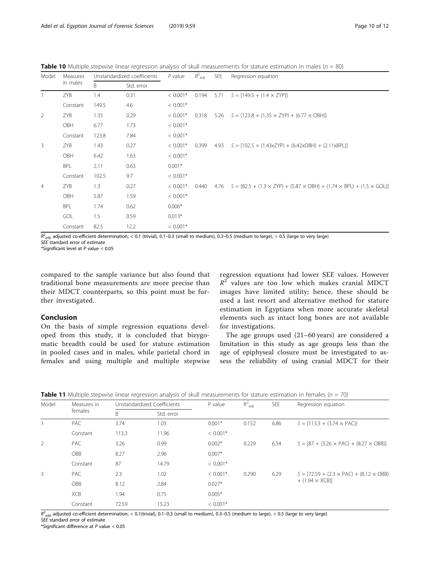<span id="page-9-0"></span>**Table 10** Multiple stepwise linear regression analysis of skull measurements for stature estimation in males ( $n = 80$ )

| Model          | Measures   |       | Unstandardized coefficients |            | $R^2$ <sub>adj</sub> | SEE  | Regression equation                                                                        |  |  |  |
|----------------|------------|-------|-----------------------------|------------|----------------------|------|--------------------------------------------------------------------------------------------|--|--|--|
|                | in males   | B     | Std. error                  |            |                      |      |                                                                                            |  |  |  |
| $\mathbf{1}$   | <b>ZYB</b> | 1.4   | 0.31                        | $< 0.001*$ | 0.194                | 5.71 | $S = [149.5 + (1.4 \times ZYP)]$                                                           |  |  |  |
|                | Constant   | 149.5 | 4.6                         | $< 0.001*$ |                      |      |                                                                                            |  |  |  |
| $\overline{2}$ | ZYB        | 1.35  | 0.29                        | $< 0.001*$ | 0.318                |      | 5.26 $S = [123.8 + (1.35 \times ZYP) + (6.77 \times OBH)]$                                 |  |  |  |
|                | OBH        | 6.77  | 1.73                        | $< 0.001*$ |                      |      |                                                                                            |  |  |  |
|                | Constant   | 123.8 | 7.84                        | $< 0.001*$ |                      |      |                                                                                            |  |  |  |
| 3              | <b>ZYB</b> | 1.43  | 0.27                        | $< 0.001*$ | 0.399                |      | $4.93$ $S = [102.5 + (1.43xZYP) + (6.42xOBH) + (2.11xBPL)]$                                |  |  |  |
|                | OBH        | 6.42  | 1.63                        | $< 0.001*$ |                      |      |                                                                                            |  |  |  |
|                | <b>BPL</b> | 2.11  | 0.63                        | $0.001*$   |                      |      |                                                                                            |  |  |  |
|                | Constant   | 102.5 | 9.7                         | $< 0.001*$ |                      |      |                                                                                            |  |  |  |
| $\overline{4}$ | ZYB        | 1.3   | 0.27                        | $< 0.001*$ | 0.440                | 4.76 | $S = [82.5 + (1.3 \times ZYP) + (5.87 \times OBH) + (1.74 \times BPL) + (1.5 \times GOL)]$ |  |  |  |
|                | OBH        | 5.87  | 1.59                        | $< 0.001*$ |                      |      |                                                                                            |  |  |  |
|                | BPL        | 1.74  | 0.62                        | $0.006*$   |                      |      |                                                                                            |  |  |  |
|                | GOL        | 1.5   | 0.59                        | $0.013*$   |                      |      |                                                                                            |  |  |  |
|                | Constant   | 82.5  | 12.2                        | $< 0.001*$ |                      |      |                                                                                            |  |  |  |

 $R^2$ <sub>adj</sub>, adjusted co-efficient determination; < 0.1 (trivial), 0.1–0.3 (small to medium), 0.3–0.5 (medium to large), > 0.5 (large to very large)<br>SEE standard error of estimate

SEE standard error of estimate

\*Significant level at P value < 0.05

compared to the sample variance but also found that traditional bone measurements are more precise than their MDCT counterparts, so this point must be further investigated.

#### Conclusion

On the basis of simple regression equations developed from this study, it is concluded that bizygomatic breadth could be used for stature estimation in pooled cases and in males, while parietal chord in females and using multiple and multiple stepwise regression equations had lower SEE values. However  $R<sup>2</sup>$  values are too low which makes cranial MDCT images have limited utility; hence, these should be used a last resort and alternative method for stature estimation in Egyptians when more accurate skeletal elements such as intact long bones are not available for investigations.

The age groups used (21–60 years) are considered a limitation in this study as age groups less than the age of epiphyseal closure must be investigated to assess the reliability of using cranial MDCT for their

|  | <b>Table 11</b> Multiple stepwise linear regression analysis of skull measurements for stature estimation in females ( $n = 70$ ) |  |  |  |  |  |
|--|-----------------------------------------------------------------------------------------------------------------------------------|--|--|--|--|--|
|--|-----------------------------------------------------------------------------------------------------------------------------------|--|--|--|--|--|

| Model | Measures in | Unstandardized Coefficients |            | P value    | $R^2$ <sub>adj</sub> | <b>SEE</b> | Regression equation                                  |  |
|-------|-------------|-----------------------------|------------|------------|----------------------|------------|------------------------------------------------------|--|
|       | females     |                             |            |            |                      |            |                                                      |  |
|       |             | B                           | Std. error |            |                      |            |                                                      |  |
|       | <b>PAC</b>  | 3.74                        | 1.03       | $0.001*$   | 0.152                | 6.86       | $S = [113.3 + (3.74 \times PAC)]$                    |  |
|       | Constant    | 113.3                       | 11.96      | $< 0.001*$ |                      |            |                                                      |  |
| 2     | <b>PAC</b>  | 3.26                        | 0.99       | $0.002*$   | 0.229                | 6.54       | $S = [87 + (3.26 \times PAC) + (8.27 \times OBB)]$   |  |
|       | OBB         | 8.27                        | 2.96       | $0.007*$   |                      |            |                                                      |  |
|       | Constant    | 87                          | 14.79      | $< 0.001*$ |                      |            |                                                      |  |
| 3     | <b>PAC</b>  | 2.3                         | 1.02       | $< 0.001*$ | 0.290                | 6.29       | $S = [72.59 + (2.3 \times PAC) + (8.12 \times OBB)]$ |  |
|       | OBB         | 8.12                        | 2.84       | $0.027*$   |                      |            | $+$ (1.94 $\times$ XCB)]                             |  |
|       | <b>XCB</b>  | 1.94                        | 0.75       | $0.005*$   |                      |            |                                                      |  |
|       | Constant    | 72.59                       | 15.23      | $< 0.001*$ |                      |            |                                                      |  |

 $R^2$ <sub>adj</sub>, adjusted co-efficient determination; < 0.1(trivial), 0.1–0.3 (small to medium), 0.3–0.5 (medium to large), > 0.5 (large to very large)<br>SEE standard error of estimate

SEE standard error of estimate

\*Significant difference at P value < 0.05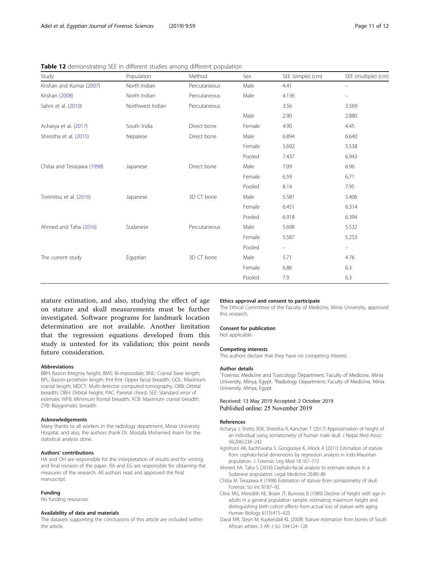| Study                     | Population       | Method       | Sex    | SEE (simple) (cm) | SEE (multiple) (cm)      |
|---------------------------|------------------|--------------|--------|-------------------|--------------------------|
| Krishan and Kumar (2007)  | North Indian     | Percutaneous | Male   | 4.41              | $\overline{\phantom{m}}$ |
| Krishan (2008)            | North Indian     | Percutaneous | Male   | 4.136             |                          |
| Sahni et al. (2010)       | Northwest Indian | Percutaneous |        | 3.56              | 3.569                    |
|                           |                  |              | Male   | 2.90              | 2.880                    |
| Acharya et al. (2017)     | South India      | Direct bone  | Female | 4.90              | 4.45                     |
| Shrestha et al. (2015)    | Nepalese         | Direct bone  | Male   | 6.894             | 6.640                    |
|                           |                  |              | Female | 5.692             | 5.538                    |
|                           |                  |              | Pooled | 7.437             | 6.943                    |
| Chiba and Terazawa (1998) | Japanese         | Direct bone  | Male   | 7.09              | 6.96                     |
|                           |                  |              | Female | 6.59              | 6.71                     |
|                           |                  |              | Pooled | 8.14              | 7.95                     |
| Torimitsu et al. (2016)   | Japanese         | 3D CT bone   | Male   | 5.581             | 5.406                    |
|                           |                  |              | Female | 6.451             | 6.314                    |
|                           |                  |              | Pooled | 6.918             | 6.394                    |
| Ahmed and Taha (2016)     | Sudanese         | Percutaneous | Male   | 5.698             | 5.532                    |
|                           |                  |              | Female | 5.587             | 5.253                    |
|                           |                  |              | Pooled | -                 | $\overline{\phantom{m}}$ |
| The current study         | Egyptian         | 3D CT bone   | Male   | 5.71              | 4.76                     |
|                           |                  |              | Female | 6.86              | 6.3                      |
|                           |                  |              | Pooled | 7.9               | 6.3                      |

<span id="page-10-0"></span>Table 12 demonstrating SFE in different studies among different population

stature estimation, and also, studying the effect of age on stature and skull measurements must be further investigated. Software programs for landmark location determination are not available. Another limitation that the regression equations developed from this study is untested for its validation; this point needs future consideration.

#### Abbreviations

BBH: Basion-bregma height; BMS: Bi-mastoidale; BNL: Cranial base length; BPL: Basion-prosthion length; fmt-fmt: Upper facial breadth; GOL: Maximum cranial length; MDCT: Multi-detector computed tomography; OBB: Orbital breadth; OBH: Orbital height; PAC: Parietal chord; SEE: Standard error of estimate; WFB: Minimum frontal breadth; XCB: Maximum cranial breadth; ZYB: Bizygomatic breadth

#### Acknowledgements

Many thanks to all workers in the radiology department, Minia University Hospital, and also, the authors thank Dr. Mostafa Mohamed Asem for the statistical analysis done.

#### Authors' contributions

HA and OH are responsible for the interpretation of results and for writing and final revision of the paper. RA and EG are responsible for obtaining the measures of the research. All authors read and approved the final manuscript.

#### Funding

No funding resources.

#### Availability of data and materials

The datasets supporting the conclusions of this article are included within the article.

#### Ethics approval and consent to participate

The Ethical Committee of the Faculty of Medicine, Minia University, approved this research.

#### Consent for publication

Not applicable.

#### Competing interests

The authors declare that they have no competing interest.

#### Author details

<sup>1</sup> Forensic Medicine and Toxicology Department, Faculty of Medicine, Minia University, Minya, Egypt. <sup>2</sup>Radiology Department, Faculty of Medicine, Minia University, Minya, Egypt.

#### Received: 13 May 2019 Accepted: 2 October 2019 Published online: 25 November 2019

#### References

- Acharya J, Shetty BSK, Shrestha R, Kanchan T (2017) Approximation of height of an individual using somatometry of human male skull. J Nepal Med Assoc 56(206):238–242
- Agnihotri AK, Kachhwaha S, Googoolye K, Allock A (2011) Estimation of stature from cephalo-facial dimensions by regression analysis in Indo-Mauritian population. J. Forensic Leg Med 18:167–172
- Ahmed AA, Taha S (2016) Cephalo-facial analysis to estimate stature in a Sudanese population. Legal Medicine 20:80–86
- Chiba M, Terazawa K (1998) Estimation of stature from somatometry of skull. Forensic Sci Int 97:87–92
- Cline MG, Meredith KE, Boyer JT, Burrows B (1989) Decline of height with age in adults in a general population sample: estimating maximum height and distinguishing birth cohort effects from actual loss of stature with aging. Human Biology 61(3):415–425
- Dayal MR, Steyn M, Kuykendall KL (2008) Stature estimation from bones of South African whites. S Afr J Sci 104:124–128